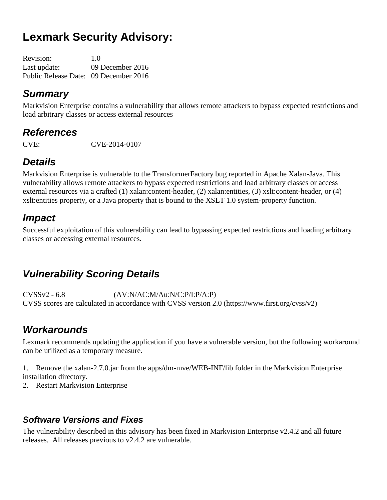# **Lexmark Security Advisory:**

| <b>Revision:</b>                      | 1.0              |
|---------------------------------------|------------------|
| Last update:                          | 09 December 2016 |
| Public Release Date: 09 December 2016 |                  |

## *Summary*

Markvision Enterprise contains a vulnerability that allows remote attackers to bypass expected restrictions and load arbitrary classes or access external resources

## *References*

CVE: CVE-2014-0107

# *Details*

Markvision Enterprise is vulnerable to the TransformerFactory bug reported in Apache Xalan-Java. This vulnerability allows remote attackers to bypass expected restrictions and load arbitrary classes or access external resources via a crafted (1) xalan:content-header, (2) xalan:entities, (3) xslt:content-header, or (4) xslt:entities property, or a Java property that is bound to the XSLT 1.0 system-property function.

## *Impact*

Successful exploitation of this vulnerability can lead to bypassing expected restrictions and loading arbitrary classes or accessing external resources.

## *Vulnerability Scoring Details*

CVSSv2 - 6.8 (AV:N/AC:M/Au:N/C:P/I:P/A:P) CVSS scores are calculated in accordance with CVSS version 2.0 (https://www.first.org/cvss/v2)

## *Workarounds*

Lexmark recommends updating the application if you have a vulnerable version, but the following workaround can be utilized as a temporary measure.

1. Remove the xalan-2.7.0.jar from the apps/dm-mve/WEB-INF/lib folder in the Markvision Enterprise installation directory.

2. Restart Markvision Enterprise

#### *Software Versions and Fixes*

The vulnerability described in this advisory has been fixed in Markvision Enterprise v2.4.2 and all future releases. All releases previous to v2.4.2 are vulnerable.